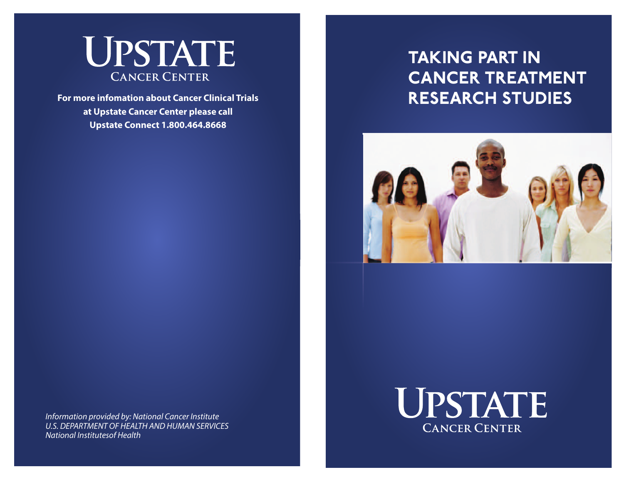# **UPSTATE CANCER CENTER**

**For more infomation about Cancer Clinical Trials at Upstate Cancer Center please call Upstate Connect 1.800.464.8668**

## **TAKING PART IN CANCER TREATMENT RESEARCH STUDIES**



*Information provided by: National Cancer Institute U.S. DEPARTMENT OF HEALTH AND HUMAN SERVICES National Institutesof Health*

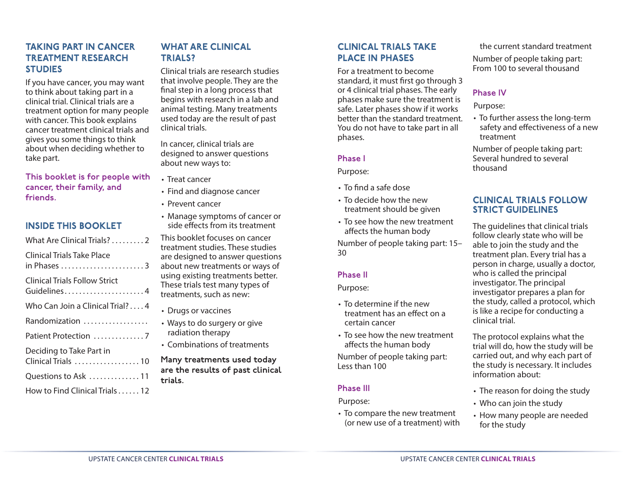#### **TAKING PART IN CANCER TREATMENT RESEARCH STUDIES**

If you have cancer, you may want to think about taking part in a clinical trial. Clinical trials are a treatment option for many people with cancer. This book explains cancer treatment clinical trials and gives you some things to think about when deciding whether to take part.

This booklet is for people with cancer, their family, and friends.

#### **INSIDE THIS BOOKLET**

| What Are Clinical Trials? 2                         |
|-----------------------------------------------------|
| <b>Clinical Trials Take Place</b><br>in Phases 3    |
| <b>Clinical Trials Follow Strict</b><br>Guidelines4 |
| Who Can Join a Clinical Trial?4                     |
| Randomization                                       |
| Patient Protection 7                                |
| Deciding to Take Part in<br>Clinical Trials  10     |
| Questions to Ask 11                                 |
| How to Find Clinical Trials 12                      |

## **WHAT ARE CLINICAL TRIALS?**

Clinical trials are research studies that involve people. They are the final step in a long process that begins with research in a lab and animal testing. Many treatments used today are the result of past clinical trials.

In cancer, clinical trials are designed to answer questions about new ways to:

- Treat cancer
- Find and diagnose cancer
- Prevent cancer
- Manage symptoms of cancer or side effects from its treatment
- This booklet focuses on cancer treatment studies. These studies are designed to answer questions about new treatments or ways of using existing treatments better. These trials test many types of treatments, such as new:
- Drugs or vaccines
- Ways to do surgery or give radiation therapy
- Combinations of treatments

#### Many treatments used today are the results of past clinical trials.

## **CLINICAL TRIALS TAKE PLACE IN PHASES**

For a treatment to become standard, it must first go through 3 or 4 clinical trial phases. The early phases make sure the treatment is safe. Later phases show if it works better than the standard treatment. You do not have to take part in all phases.

#### Phase I

Purpose:

- To find a safe dose
- To decide how the new treatment should be given
- To see how the new treatment affects the human body

Number of people taking part: 15-30

#### Phase II

Purpose:

- To determine if the new treatment has an effect on a certain cancer
- To see how the new treatment affects the human body

Number of people taking part: Less than 100

#### Phase III

Purpose:

• To compare the new treatment (or new use of a treatment) with the current standard treatment

Number of people taking part: From 100 to several thousand

#### Phase IV

Purpose:

• To further assess the long-term safety and effectiveness of a new treatment

Number of people taking part: Several hundred to several thousand

#### **CLINICAL TRIALS FOLLOW STRICT GUIDELINES**

The guidelines that clinical trials follow clearly state who will be able to join the study and the treatment plan. Every trial has a person in charge, usually a doctor, who is called the principal investigator. The principal investigator prepares a plan for the study, called a protocol, which is like a recipe for conducting a clinical trial.

The protocol explains what the trial will do, how the study will be carried out, and why each part of the study is necessary. It includes information about:

- The reason for doing the study
- Who can join the study
- How many people are needed for the study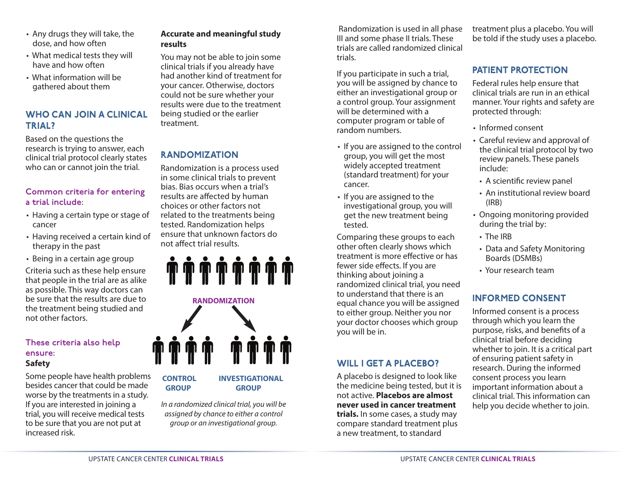- Any drugs they will take, the dose, and how often
- What medical tests they will have and how often
- What information will be gathered about them

#### **WHO CAN JOIN A CLINICAL TRIAL?**

Based on the questions the research is trying to answer, each clinical trial protocol clearly states who can or cannot join the trial.

#### Common criteria for entering a trial include:

- Having a certain type or stage of cancer
- Having received a certain kind of therapy in the past
- Being in a certain age group

Criteria such as these help ensure that people in the trial are as alike as possible. This way doctors can be sure that the results are due to the treatment being studied and not other factors.

## These criteria also help ensure:

## **safety**

Some people have health problems besides cancer that could be made worse by the treatments in a study. If you are interested in joining a trial, you will receive medical tests to be sure that you are not put at increased risk.

#### **accurate and meaningful study results**

You may not be able to join some clinical trials if you already have had another kind of treatment for your cancer. Otherwise, doctors could not be sure whether your results were due to the treatment being studied or the earlier treatment.

## **RANDOMIZATION**

Randomization is a process used in some clinical trials to prevent bias. Bias occurs when a trial's results are affected by human choices or other factors not related to the treatments being tested. Randomization helps ensure that unknown factors do not affect trial results.

**WWWWWW ranDOMiZaTiOn**



**COnTrOl inVEsTiGaTiOnal GrOUP GrOUP**

*In a randomized clinical trial, you will be assigned by chance to either a control group or an investigational group.*

Randomization is used in all phase III and some phase II trials. These trials are called randomized clinical trials.

If you participate in such a trial, you will be assigned by chance to either an investigational group or a control group. Your assignment will be determined with a computer program or table of random numbers.

- If you are assigned to the control group, you will get the most widely accepted treatment (standard treatment) for your cancer.
- If you are assigned to the investigational group, you will get the new treatment being tested.

Comparing these groups to each other often clearly shows which treatment is more effective or has fewer side effects. If you are thinking about joining a randomized clinical trial, you need to understand that there is an equal chance you will be assigned to either group. Neither you nor your doctor chooses which group you will be in.

## **WILL I GET A PLACEBO?**

A placebo is designed to look like the medicine being tested, but it is not active. **Placebos are almost never used in cancer treatment trials.** In some cases, a study may compare standard treatment plus a new treatment, to standard

treatment plus a placebo. You will be told if the study uses a placebo.

#### **PATIENT PROTECTION**

Federal rules help ensure that clinical trials are run in an ethical manner. Your rights and safety are protected through:

- Informed consent
- Careful review and approval of the clinical trial protocol by two review panels. These panels include:
- A scientific review panel
- An institutional review board (IRB)
- Ongoing monitoring provided during the trial by:
	- The IRB
- Data and Safety Monitoring Boards (DSMBs)
- Your research team

## **INFORMED CONSENT**

Informed consent is a process through which you learn the purpose, risks, and benefits of a clinical trial before deciding whether to join. It is a critical part of ensuring patient safety in research. During the informed consent process you learn important information about a clinical trial. This information can help you decide whether to join.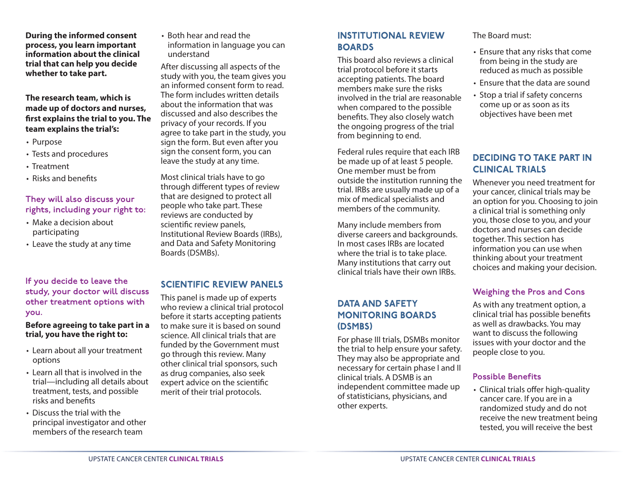**During the informed consent process, you learn important information about the clinical trial that can help you decide whether to take part.**

#### **The research team, which is made up of doctors and nurses, first explains the trial to you. The team explains the trial's:**

- Purpose
- Tests and procedures
- Treatment
- Risks and benefits

#### They will also discuss your rights, including your right to:

- Make a decision about participating
- Leave the study at any time

#### If you decide to leave the study, your doctor will discuss other treatment options with you.

#### **Before agreeing to take part in a trial, you have the right to:**

- Learn about all your treatment options
- Learn all that is involved in the trial—including all details about treatment, tests, and possible risks and benefits
- Discuss the trial with the principal investigator and other members of the research team

• Both hear and read the information in language you can understand

After discussing all aspects of the study with you, the team gives you an informed consent form to read. The form includes written details about the information that was discussed and also describes the privacy of your records. If you agree to take part in the study, you sign the form. But even after you sign the consent form, you can leave the study at any time.

Most clinical trials have to go through different types of review that are designed to protect all people who take part. These reviews are conducted by scientific review panels, Institutional Review Boards (IRBs), and Data and Safety Monitoring Boards (DSMBs).

## **SCIENTIFIC REVIEW PANELS**

This panel is made up of experts who review a clinical trial protocol before it starts accepting patients to make sure it is based on sound science. All clinical trials that are funded by the Government must go through this review. Many other clinical trial sponsors, such as drug companies, also seek expert advice on the scientific merit of their trial protocols.

## **INSTITUTIONAL REVIEW BOARDS**

This board also reviews a clinical trial protocol before it starts accepting patients. The board members make sure the risks involved in the trial are reasonable when compared to the possible benefits. They also closely watch the ongoing progress of the trial from beginning to end.

Federal rules require that each IRB be made up of at least 5 people. One member must be from outside the institution running the trial. IRBs are usually made up of a mix of medical specialists and members of the community.

Many include members from diverse careers and backgrounds. In most cases IRBs are located where the trial is to take place. Many institutions that carry out clinical trials have their own IRBs.

## **DATA AND SAFETY MONITORING BOARDS (DSMBS)**

For phase III trials, DSMBs monitor the trial to help ensure your safety. They may also be appropriate and necessary for certain phase I and II clinical trials. A DSMB is an independent committee made up of statisticians, physicians, and other experts.

The Board must:

- Ensure that any risks that come from being in the study are reduced as much as possible
- Ensure that the data are sound
- Stop a trial if safety concerns come up or as soon as its objectives have been met

## **DECIDING TO TAKE PART IN CLINICAL TRIALS**

Whenever you need treatment for your cancer, clinical trials may be an option for you. Choosing to join a clinical trial is something only you, those close to you, and your doctors and nurses can decide together. This section has information you can use when thinking about your treatment choices and making your decision.

#### Weighing the Pros and Cons

As with any treatment option, a clinical trial has possible benefits as well as drawbacks. You may want to discuss the following issues with your doctor and the people close to you.

#### Possible Benefits

• Clinical trials offer high-quality cancer care. If you are in a randomized study and do not receive the new treatment being tested, you will receive the best